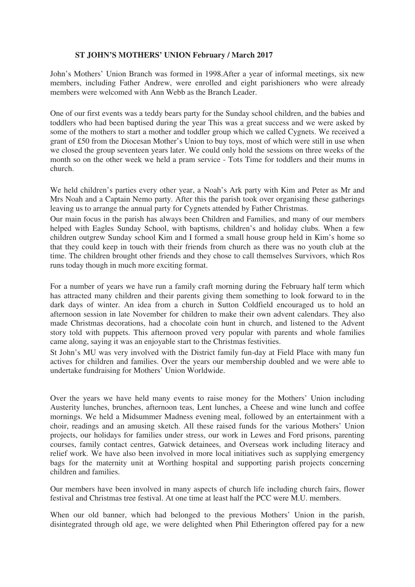## **ST JOHN'S MOTHERS' UNION February / March 2017**

John's Mothers' Union Branch was formed in 1998.After a year of informal meetings, six new members, including Father Andrew, were enrolled and eight parishioners who were already members were welcomed with Ann Webb as the Branch Leader.

One of our first events was a teddy bears party for the Sunday school children, and the babies and toddlers who had been baptised during the year This was a great success and we were asked by some of the mothers to start a mother and toddler group which we called Cygnets. We received a grant of £50 from the Diocesan Mother's Union to buy toys, most of which were still in use when we closed the group seventeen years later. We could only hold the sessions on three weeks of the month so on the other week we held a pram service - Tots Time for toddlers and their mums in church.

We held children's parties every other year, a Noah's Ark party with Kim and Peter as Mr and Mrs Noah and a Captain Nemo party. After this the parish took over organising these gatherings leaving us to arrange the annual party for Cygnets attended by Father Christmas.

Our main focus in the parish has always been Children and Families, and many of our members helped with Eagles Sunday School, with baptisms, children's and holiday clubs. When a few children outgrew Sunday school Kim and I formed a small house group held in Kim's home so that they could keep in touch with their friends from church as there was no youth club at the time. The children brought other friends and they chose to call themselves Survivors, which Ros runs today though in much more exciting format.

For a number of years we have run a family craft morning during the February half term which has attracted many children and their parents giving them something to look forward to in the dark days of winter. An idea from a church in Sutton Coldfield encouraged us to hold an afternoon session in late November for children to make their own advent calendars. They also made Christmas decorations, had a chocolate coin hunt in church, and listened to the Advent story told with puppets. This afternoon proved very popular with parents and whole families came along, saying it was an enjoyable start to the Christmas festivities.

St John's MU was very involved with the District family fun-day at Field Place with many fun actives for children and families. Over the years our membership doubled and we were able to undertake fundraising for Mothers' Union Worldwide.

Over the years we have held many events to raise money for the Mothers' Union including Austerity lunches, brunches, afternoon teas, Lent lunches, a Cheese and wine lunch and coffee mornings. We held a Midsummer Madness evening meal, followed by an entertainment with a choir, readings and an amusing sketch. All these raised funds for the various Mothers' Union projects, our holidays for families under stress, our work in Lewes and Ford prisons, parenting courses, family contact centres, Gatwick detainees, and Overseas work including literacy and relief work. We have also been involved in more local initiatives such as supplying emergency bags for the maternity unit at Worthing hospital and supporting parish projects concerning children and families.

Our members have been involved in many aspects of church life including church fairs, flower festival and Christmas tree festival. At one time at least half the PCC were M.U. members.

When our old banner, which had belonged to the previous Mothers' Union in the parish, disintegrated through old age, we were delighted when Phil Etherington offered pay for a new